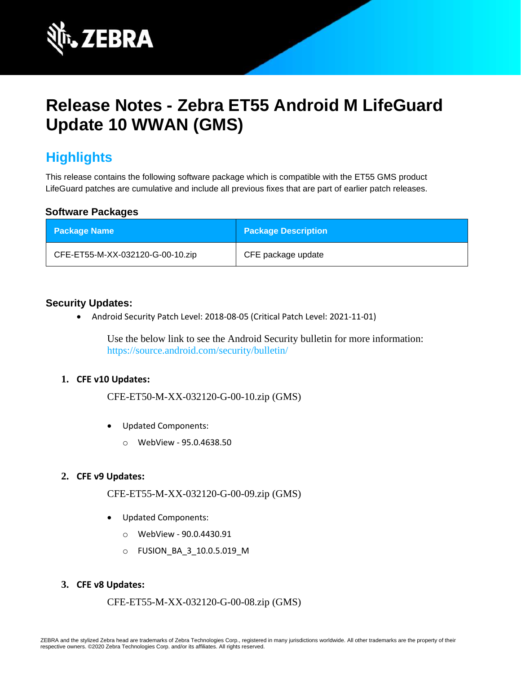

# **Release Notes - Zebra ET55 Android M LifeGuard Update 10 WWAN (GMS)**

# **Highlights**

This release contains the following software package which is compatible with the ET55 GMS product LifeGuard patches are cumulative and include all previous fixes that are part of earlier patch releases.

#### **Software Packages**

| <b>Package Name</b>              | <b>Package Description</b> |
|----------------------------------|----------------------------|
| CFE-ET55-M-XX-032120-G-00-10.zip | CFE package update         |

#### **Security Updates:**

• Android Security Patch Level: 2018-08-05 (Critical Patch Level: 2021-11-01)

Use the below link to see the Android Security bulletin for more information: <https://source.android.com/security/bulletin/>

#### **1. CFE v10 Updates:**

CFE-ET50-M-XX-032120-G-00-10.zip (GMS)

- Updated Components:
	- o WebView 95.0.4638.50

#### **2. CFE v9 Updates:**

CFE-ET55-M-XX-032120-G-00-09.zip (GMS)

- Updated Components:
	- o WebView 90.0.4430.91
	- o FUSION\_BA\_3\_10.0.5.019\_M
- **3. CFE v8 Updates:**

```
 CFE-ET55-M-XX-032120-G-00-08.zip (GMS)
```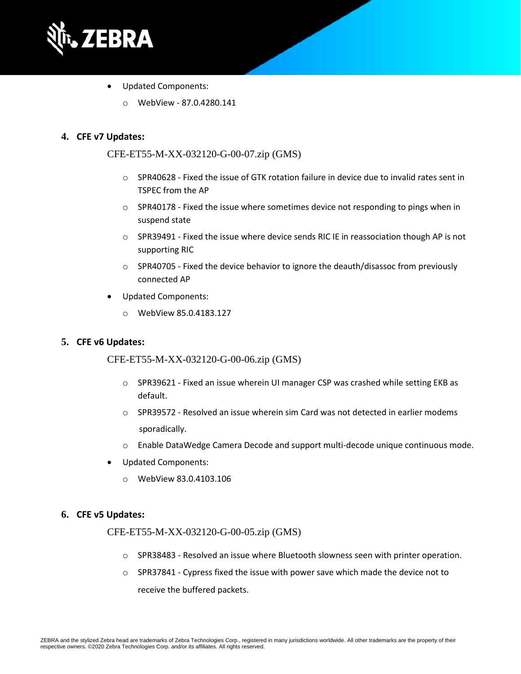

- Updated Components:
	- o WebView 87.0.4280.141

#### **4. CFE v7 Updates:**

#### CFE-ET55-M-XX-032120-G-00-07.zip (GMS)

- $\circ$  SPR40628 Fixed the issue of GTK rotation failure in device due to invalid rates sent in TSPEC from the AP
- $\circ$  SPR40178 Fixed the issue where sometimes device not responding to pings when in suspend state
- o SPR39491 Fixed the issue where device sends RIC IE in reassociation though AP is not supporting RIC
- o SPR40705 Fixed the device behavior to ignore the deauth/disassoc from previously connected AP
- Updated Components:
	- o WebView 85.0.4183.127

#### **5. CFE v6 Updates:**

CFE-ET55-M-XX-032120-G-00-06.zip (GMS)

- $\circ$  SPR39621 Fixed an issue wherein UI manager CSP was crashed while setting EKB as default.
- $\circ$  SPR39572 Resolved an issue wherein sim Card was not detected in earlier modems sporadically.
- o Enable DataWedge Camera Decode and support multi-decode unique continuous mode.
- Updated Components:
	- o WebView 83.0.4103.106

#### **6. CFE v5 Updates:**

#### CFE-ET55-M-XX-032120-G-00-05.zip (GMS)

- o SPR38483 Resolved an issue where Bluetooth slowness seen with printer operation.
- $\circ$  SPR37841 Cypress fixed the issue with power save which made the device not to receive the buffered packets.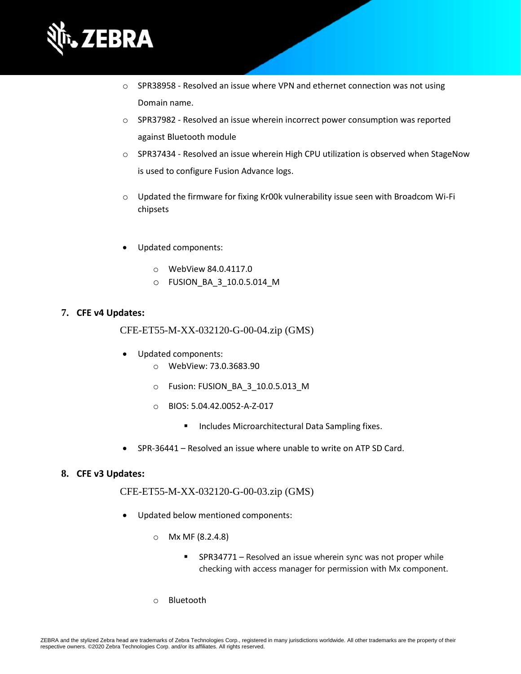

- $\circ$  SPR38958 Resolved an issue where VPN and ethernet connection was not using Domain name.
- o SPR37982 Resolved an issue wherein incorrect power consumption was reported against Bluetooth module
- o SPR37434 Resolved an issue wherein High CPU utilization is observed when StageNow is used to configure Fusion Advance logs.
- $\circ$  Updated the firmware for fixing Kr00k vulnerability issue seen with Broadcom Wi-Fi chipsets
- Updated components:
	- o WebView 84.0.4117.0
	- o FUSION\_BA\_3\_10.0.5.014\_M

#### **7. CFE v4 Updates:**

CFE-ET55-M-XX-032120-G-00-04.zip (GMS)

- Updated components:
	- o WebView: 73.0.3683.90
	- o Fusion: FUSION\_BA\_3\_10.0.5.013\_M
	- o BIOS: 5.04.42.0052-A-Z-017
		- Includes Microarchitectural Data Sampling fixes.
- SPR-36441 Resolved an issue where unable to write on ATP SD Card.

#### **8. CFE v3 Updates:**

CFE-ET55-M-XX-032120-G-00-03.zip (GMS)

- Updated below mentioned components:
	- o Mx MF (8.2.4.8)
		- SPR34771 Resolved an issue wherein sync was not proper while checking with access manager for permission with Mx component.
	- o Bluetooth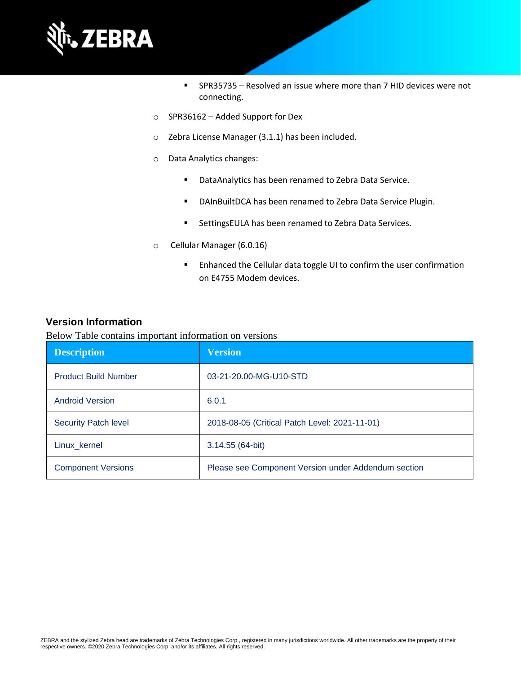

- SPR35735 Resolved an issue where more than 7 HID devices were not connecting.
- o SPR36162 Added Support for Dex
- o Zebra License Manager (3.1.1) has been included.
- o Data Analytics changes:
	- DataAnalytics has been renamed to Zebra Data Service.
	- DAInBuiltDCA has been renamed to Zebra Data Service Plugin.
	- SettingsEULA has been renamed to Zebra Data Services.
- o Cellular Manager (6.0.16)
	- Enhanced the Cellular data toggle UI to confirm the user confirmation on E4755 Modem devices.

#### **Version Information**

Below Table contains important information on versions

| <b>Description</b>          | <b>Version</b>                                      |
|-----------------------------|-----------------------------------------------------|
| <b>Product Build Number</b> | 03-21-20.00-MG-U10-STD                              |
| <b>Android Version</b>      | 6.0.1                                               |
| <b>Security Patch level</b> | 2018-08-05 (Critical Patch Level: 2021-11-01)       |
| Linux_kernel                | 3.14.55 (64-bit)                                    |
| <b>Component Versions</b>   | Please see Component Version under Addendum section |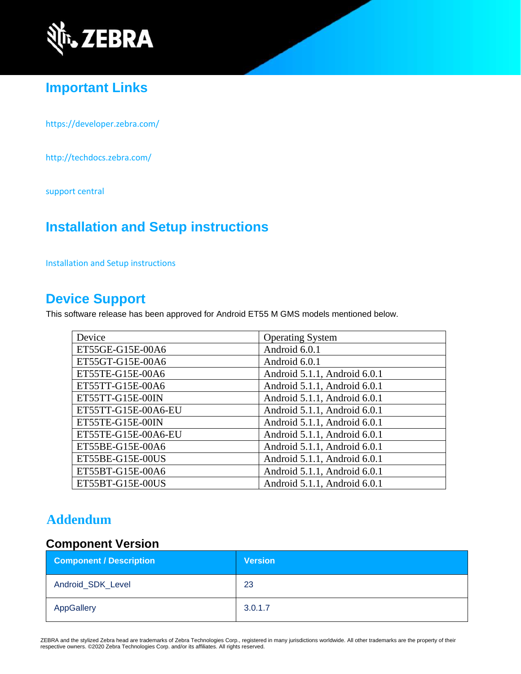

# **Important Links**

<https://developer.zebra.com/>

<http://techdocs.zebra.com/>

[support central](https://www.zebra.com/us/en/support-downloads/software/operating-system/et55-gms-operating-system.html)

### **Installation and Setup instructions**

[Installation and Setup instructions](https://www.zebra.com/content/dam/zebra_new_ia/en-us/software/operating-system/ET5X%20Operating%20System/ET55-M-GMS-OS-UPDATE-INSTRUCTIONS.pdf)

### **Device Support**

This software release has been approved for Android ET55 M GMS models mentioned below.

| Device              | <b>Operating System</b>      |  |
|---------------------|------------------------------|--|
| ET55GE-G15E-00A6    | Android 6.0.1                |  |
| ET55GT-G15E-00A6    | Android 6.0.1                |  |
| ET55TE-G15E-00A6    | Android 5.1.1, Android 6.0.1 |  |
| ET55TT-G15E-00A6    | Android 5.1.1, Android 6.0.1 |  |
| ET55TT-G15E-00IN    | Android 5.1.1, Android 6.0.1 |  |
| ET55TT-G15E-00A6-EU | Android 5.1.1, Android 6.0.1 |  |
| ET55TE-G15E-00IN    | Android 5.1.1, Android 6.0.1 |  |
| ET55TE-G15E-00A6-EU | Android 5.1.1, Android 6.0.1 |  |
| ET55BE-G15E-00A6    | Android 5.1.1, Android 6.0.1 |  |
| ET55BE-G15E-00US    | Android 5.1.1, Android 6.0.1 |  |
| ET55BT-G15E-00A6    | Android 5.1.1, Android 6.0.1 |  |
| ET55BT-G15E-00US    | Android 5.1.1, Android 6.0.1 |  |

### **Addendum**

### **Component Version**

| <b>Component / Description</b> | <b>Version</b> |
|--------------------------------|----------------|
| Android_SDK_Level              | 23             |
| AppGallery                     | 3.0.1.7        |

ZEBRA and the stylized Zebra head are trademarks of Zebra Technologies Corp., registered in many jurisdictions worldwide. All other trademarks are the property of their respective owners. ©2020 Zebra Technologies Corp. and/or its affiliates. All rights reserved.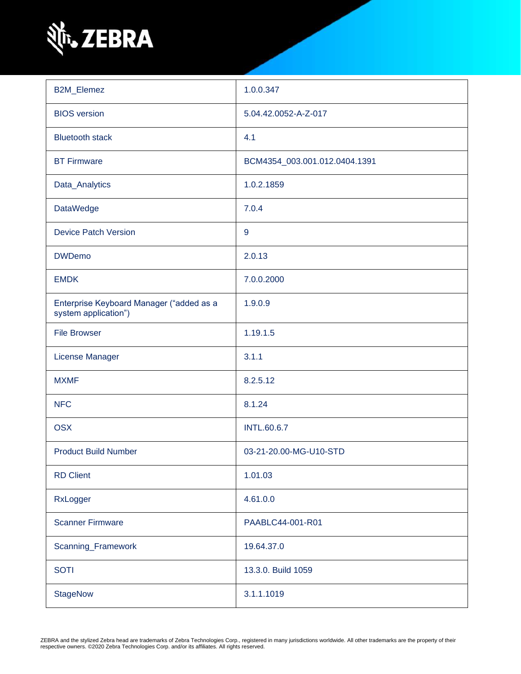

| <b>B2M_Elemez</b>                                                | 1.0.0.347                     |  |
|------------------------------------------------------------------|-------------------------------|--|
| <b>BIOS</b> version                                              | 5.04.42.0052-A-Z-017          |  |
| <b>Bluetooth stack</b>                                           | 4.1                           |  |
| <b>BT Firmware</b>                                               | BCM4354_003.001.012.0404.1391 |  |
| Data_Analytics                                                   | 1.0.2.1859                    |  |
| <b>DataWedge</b>                                                 | 7.0.4                         |  |
| <b>Device Patch Version</b>                                      | 9                             |  |
| <b>DWDemo</b>                                                    | 2.0.13                        |  |
| <b>EMDK</b>                                                      | 7.0.0.2000                    |  |
| Enterprise Keyboard Manager ("added as a<br>system application") | 1.9.0.9                       |  |
| <b>File Browser</b>                                              | 1.19.1.5                      |  |
| License Manager                                                  | 3.1.1                         |  |
| <b>MXMF</b>                                                      | 8.2.5.12                      |  |
| <b>NFC</b>                                                       | 8.1.24                        |  |
| <b>OSX</b>                                                       | <b>INTL.60.6.7</b>            |  |
| <b>Product Build Number</b>                                      | 03-21-20.00-MG-U10-STD        |  |
| <b>RD Client</b>                                                 | 1.01.03                       |  |
| RxLogger                                                         | 4.61.0.0                      |  |
| <b>Scanner Firmware</b>                                          | PAABLC44-001-R01              |  |
| Scanning_Framework                                               | 19.64.37.0                    |  |
| <b>SOTI</b>                                                      | 13.3.0. Build 1059            |  |
| <b>StageNow</b>                                                  | 3.1.1.1019                    |  |